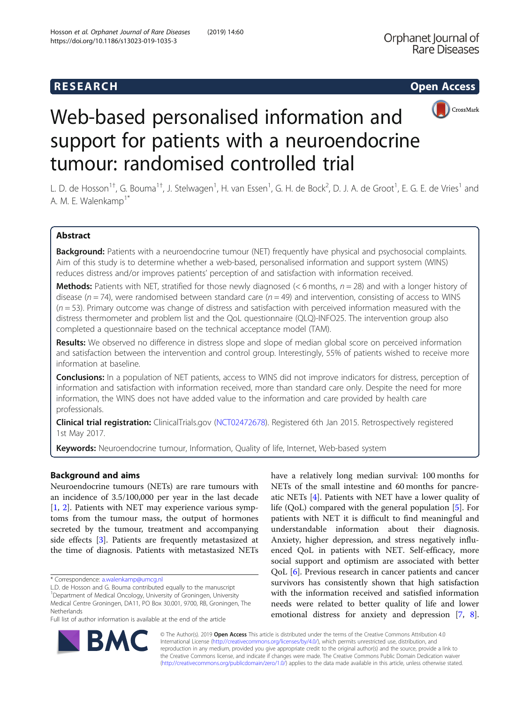## **RESEARCH CHINESEARCH CHINESE AREA**



# Web-based personalised information and support for patients with a neuroendocrine tumour: randomised controlled trial

L. D. de Hosson<sup>1†</sup>, G. Bouma<sup>1†</sup>, J. Stelwagen<sup>1</sup>, H. van Essen<sup>1</sup>, G. H. de Bock<sup>2</sup>, D. J. A. de Groot<sup>1</sup>, E. G. E. de Vries<sup>1</sup> and A. M. E. Walenkamp<sup>1\*</sup>

### Abstract

Background: Patients with a neuroendocrine tumour (NET) frequently have physical and psychosocial complaints. Aim of this study is to determine whether a web-based, personalised information and support system (WINS) reduces distress and/or improves patients' perception of and satisfaction with information received.

**Methods:** Patients with NET, stratified for those newly diagnosed  $($  6 months,  $n = 28)$  and with a longer history of disease ( $n = 74$ ), were randomised between standard care ( $n = 49$ ) and intervention, consisting of access to WINS  $(n = 53)$ . Primary outcome was change of distress and satisfaction with perceived information measured with the distress thermometer and problem list and the QoL questionnaire (QLQ)-INFO25. The intervention group also completed a questionnaire based on the technical acceptance model (TAM).

Results: We observed no difference in distress slope and slope of median global score on perceived information and satisfaction between the intervention and control group. Interestingly, 55% of patients wished to receive more information at baseline.

**Conclusions:** In a population of NET patients, access to WINS did not improve indicators for distress, perception of information and satisfaction with information received, more than standard care only. Despite the need for more information, the WINS does not have added value to the information and care provided by health care professionals.

Clinical trial registration: ClinicalTrials.gov [\(NCT02472678](https://www.clinicaltrials.gov/ct2/show/NCT02472678?term=walenkamp&rank=9)). Registered 6th Jan 2015. Retrospectively registered 1st May 2017.

Keywords: Neuroendocrine tumour, Information, Quality of life, Internet, Web-based system

#### Background and aims

Neuroendocrine tumours (NETs) are rare tumours with an incidence of 3.5/100,000 per year in the last decade [[1,](#page-6-0) [2](#page-6-0)]. Patients with NET may experience various symptoms from the tumour mass, the output of hormones secreted by the tumour, treatment and accompanying side effects [\[3](#page-6-0)]. Patients are frequently metastasized at the time of diagnosis. Patients with metastasized NETs

<sup>1</sup>Department of Medical Oncology, University of Groningen, University

Full list of author information is available at the end of the article

have a relatively long median survival: 100 months for NETs of the small intestine and 60 months for pancreatic NETs [\[4](#page-6-0)]. Patients with NET have a lower quality of life (QoL) compared with the general population [\[5](#page-6-0)]. For patients with NET it is difficult to find meaningful and understandable information about their diagnosis. Anxiety, higher depression, and stress negatively influenced QoL in patients with NET. Self-efficacy, more social support and optimism are associated with better QoL [\[6](#page-6-0)]. Previous research in cancer patients and cancer survivors has consistently shown that high satisfaction with the information received and satisfied information needs were related to better quality of life and lower emotional distress for anxiety and depression [\[7](#page-6-0), [8](#page-6-0)].



© The Author(s). 2019 Open Access This article is distributed under the terms of the Creative Commons Attribution 4.0 International License [\(http://creativecommons.org/licenses/by/4.0/](http://creativecommons.org/licenses/by/4.0/)), which permits unrestricted use, distribution, and reproduction in any medium, provided you give appropriate credit to the original author(s) and the source, provide a link to the Creative Commons license, and indicate if changes were made. The Creative Commons Public Domain Dedication waiver [\(http://creativecommons.org/publicdomain/zero/1.0/](http://creativecommons.org/publicdomain/zero/1.0/)) applies to the data made available in this article, unless otherwise stated.

<sup>\*</sup> Correspondence: [a.walenkamp@umcg.nl](mailto:a.walenkamp@umcg.nl)

L.D. de Hosson and G. Bouma contributed equally to the manuscript

Medical Centre Groningen, DA11, PO Box 30.001, 9700, RB, Groningen, The **Netherlands**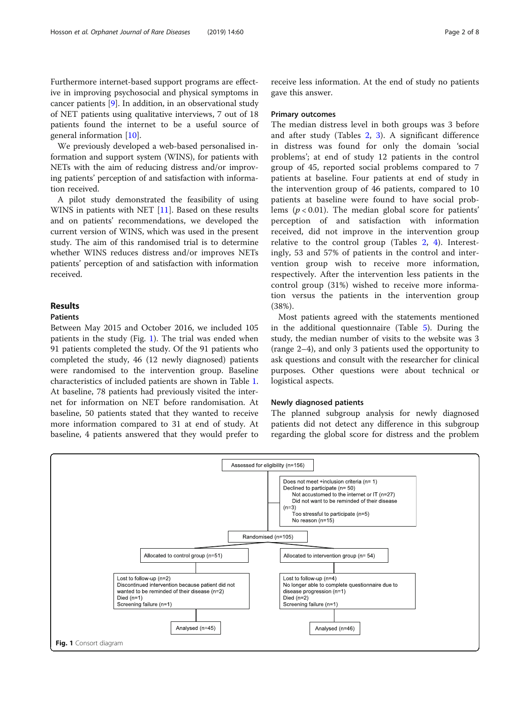<span id="page-1-0"></span>Furthermore internet-based support programs are effective in improving psychosocial and physical symptoms in cancer patients [\[9](#page-6-0)]. In addition, in an observational study of NET patients using qualitative interviews, 7 out of 18 patients found the internet to be a useful source of general information [[10\]](#page-6-0).

We previously developed a web-based personalised information and support system (WINS), for patients with NETs with the aim of reducing distress and/or improving patients' perception of and satisfaction with information received.

A pilot study demonstrated the feasibility of using WINS in patients with NET [[11\]](#page-6-0). Based on these results and on patients' recommendations, we developed the current version of WINS, which was used in the present study. The aim of this randomised trial is to determine whether WINS reduces distress and/or improves NETs patients' perception of and satisfaction with information received.

#### Results

#### Patients

Between May 2015 and October 2016, we included 105 patients in the study (Fig. 1). The trial was ended when 91 patients completed the study. Of the 91 patients who completed the study, 46 (12 newly diagnosed) patients were randomised to the intervention group. Baseline characteristics of included patients are shown in Table [1](#page-2-0). At baseline, 78 patients had previously visited the internet for information on NET before randomisation. At baseline, 50 patients stated that they wanted to receive more information compared to 31 at end of study. At baseline, 4 patients answered that they would prefer to

receive less information. At the end of study no patients gave this answer.

#### Primary outcomes

The median distress level in both groups was 3 before and after study (Tables [2,](#page-2-0) [3\)](#page-3-0). A significant difference in distress was found for only the domain 'social problems'; at end of study 12 patients in the control group of 45, reported social problems compared to 7 patients at baseline. Four patients at end of study in the intervention group of 46 patients, compared to 10 patients at baseline were found to have social problems ( $p < 0.01$ ). The median global score for patients' perception of and satisfaction with information received, did not improve in the intervention group relative to the control group (Tables [2](#page-2-0), [4](#page-3-0)). Interestingly, 53 and 57% of patients in the control and intervention group wish to receive more information, respectively. After the intervention less patients in the control group (31%) wished to receive more information versus the patients in the intervention group (38%).

Most patients agreed with the statements mentioned in the additional questionnaire (Table [5](#page-4-0)). During the study, the median number of visits to the website was 3 (range 2–4), and only 3 patients used the opportunity to ask questions and consult with the researcher for clinical purposes. Other questions were about technical or logistical aspects.

#### Newly diagnosed patients

The planned subgroup analysis for newly diagnosed patients did not detect any difference in this subgroup regarding the global score for distress and the problem

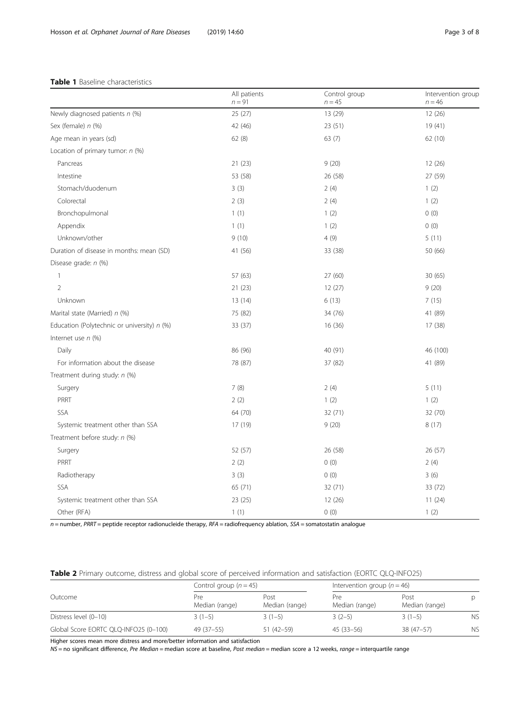#### <span id="page-2-0"></span>Table 1 Baseline characteristics

|                                             | All patients<br>$n = 91$ | Control group<br>$n = 45$ | Intervention group<br>$n = 46$ |
|---------------------------------------------|--------------------------|---------------------------|--------------------------------|
| Newly diagnosed patients $n$ (%)            | 25(27)                   | 13 (29)                   | 12(26)                         |
| Sex (female) n (%)                          | 42 (46)                  | 23(51)                    | 19 (41)                        |
| Age mean in years (sd)                      | 62(8)                    | 63(7)                     | 62 (10)                        |
| Location of primary tumor: $n$ (%)          |                          |                           |                                |
| Pancreas                                    | 21(23)                   | 9(20)                     | 12(26)                         |
| Intestine                                   | 53 (58)                  | 26 (58)                   | 27 (59)                        |
| Stomach/duodenum                            | 3(3)                     | 2(4)                      | 1(2)                           |
| Colorectal                                  | 2(3)                     | 2(4)                      | 1(2)                           |
| Bronchopulmonal                             | 1(1)                     | 1(2)                      | 0(0)                           |
| Appendix                                    | 1(1)                     | 1(2)                      | 0(0)                           |
| Unknown/other                               | 9(10)                    | 4(9)                      | 5(11)                          |
| Duration of disease in months: mean (SD)    | 41 (56)                  | 33 (38)                   | 50 (66)                        |
| Disease grade: n (%)                        |                          |                           |                                |
| $\mathbf{1}$                                | 57 (63)                  | 27(60)                    | 30(65)                         |
| $\overline{2}$                              | 21(23)                   | 12(27)                    | 9(20)                          |
| Unknown                                     | 13(14)                   | 6(13)                     | 7(15)                          |
| Marital state (Married) n (%)               | 75 (82)                  | 34 (76)                   | 41 (89)                        |
| Education (Polytechnic or university) n (%) | 33 (37)                  | 16(36)                    | 17(38)                         |
| Internet use $n$ (%)                        |                          |                           |                                |
| Daily                                       | 86 (96)                  | 40 (91)                   | 46 (100)                       |
| For information about the disease           | 78 (87)                  | 37 (82)                   | 41 (89)                        |
| Treatment during study: n (%)               |                          |                           |                                |
| Surgery                                     | 7(8)                     | 2(4)                      | 5(11)                          |
| PRRT                                        | 2(2)                     | 1(2)                      | 1(2)                           |
| SSA                                         | 64 (70)                  | 32 (71)                   | 32 (70)                        |
| Systemic treatment other than SSA           | 17 (19)                  | 9(20)                     | 8(17)                          |
| Treatment before study: n (%)               |                          |                           |                                |
| Surgery                                     | 52 (57)                  | 26 (58)                   | 26 (57)                        |
| PRRT                                        | 2(2)                     | 0(0)                      | 2(4)                           |
| Radiotherapy                                | 3(3)                     | 0(0)                      | 3(6)                           |
| SSA                                         | 65 (71)                  | 32 (71)                   | 33 (72)                        |
| Systemic treatment other than SSA           | 23 (25)                  | 12 (26)                   | 11(24)                         |
| Other (RFA)                                 | 1(1)                     | 0(0)                      | 1(2)                           |

 $n =$  number, PRRT = peptide receptor radionucleide therapy, RFA = radiofrequency ablation, SSA = somatostatin analogue

Table 2 Primary outcome, distress and global score of perceived information and satisfaction (EORTC QLQ-INFO25)

|                                       | Control group ( $n = 45$ ) |                        | Intervention group ( $n = 46$ ) |                        |           |
|---------------------------------------|----------------------------|------------------------|---------------------------------|------------------------|-----------|
| Outcome                               | Pre<br>Median (range)      | Post<br>Median (range) | Pre<br>Median (range)           | Post<br>Median (range) |           |
| Distress level (0-10)                 | $3(1-5)$                   | $3(1-5)$               | $3(2-5)$                        | $3(1-5)$               | <b>NS</b> |
| Global Score EORTC QLQ-INFO25 (0-100) | 49 (37–55)                 | $51(42 - 59)$          | $45(33-56)$                     | 38 (47-57)             | <b>NS</b> |

Higher scores mean more distress and more/better information and satisfaction

 $NS =$  no significant difference, Pre Median = median score at baseline, Post median = median score a 12 weeks, range = interquartile range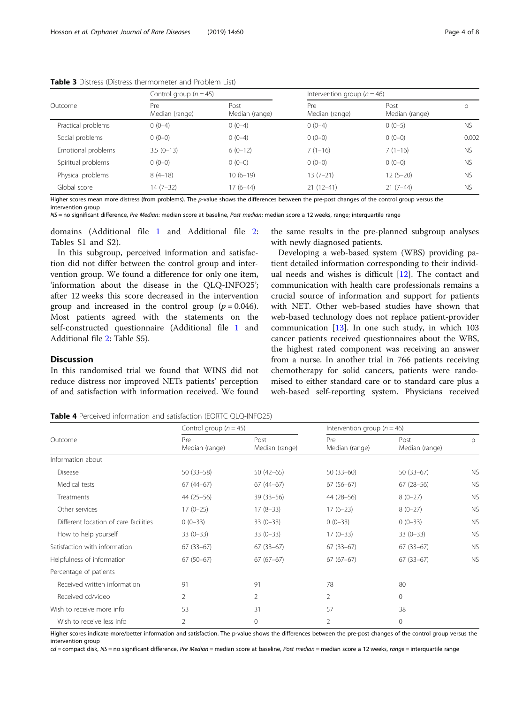|                    |                       | Control group ( $n = 45$ ) |                       | Intervention group ( $n = 46$ ) |           |  |
|--------------------|-----------------------|----------------------------|-----------------------|---------------------------------|-----------|--|
| Outcome            | Pre<br>Median (range) | Post<br>Median (range)     | Pre<br>Median (range) | Post<br>Median (range)          | p         |  |
| Practical problems | $0(0-4)$              | $0(0-4)$                   | $0(0-4)$              | $0(0-5)$                        | <b>NS</b> |  |
| Social problems    | $0(0-0)$              | $0(0-4)$                   | $0(0-0)$              | $0(0-0)$                        | 0.002     |  |
| Emotional problems | $3.5(0-13)$           | $6(0-12)$                  | $7(1-16)$             | $7(1-16)$                       | <b>NS</b> |  |
| Spiritual problems | $0(0-0)$              | $0(0-0)$                   | $0(0-0)$              | $0(0-0)$                        | <b>NS</b> |  |
| Physical problems  | $8(4-18)$             | $10(6-19)$                 | $13(7-21)$            | $12(5-20)$                      | <b>NS</b> |  |
| Global score       | $14(7-32)$            | $17(6-44)$                 | $21(12-41)$           | $21(7-44)$                      | <b>NS</b> |  |

<span id="page-3-0"></span>Table 3 Distress (Distress thermometer and Problem List)

Higher scores mean more distress (from problems). The p-value shows the differences between the pre-post changes of the control group versus the intervention group

NS = no significant difference, Pre Median: median score at baseline, Post median; median score a 12 weeks, range; interquartile range

domains (Additional file [1](#page-6-0) and Additional file [2](#page-6-0): Tables S1 and S2).

In this subgroup, perceived information and satisfaction did not differ between the control group and intervention group. We found a difference for only one item, 'information about the disease in the QLQ-INFO25'; after 12 weeks this score decreased in the intervention group and increased in the control group ( $p = 0.046$ ). Most patients agreed with the statements on the self-constructed questionnaire (Additional file [1](#page-6-0) and Additional file [2](#page-6-0): Table S5).

#### **Discussion**

In this randomised trial we found that WINS did not reduce distress nor improved NETs patients' perception of and satisfaction with information received. We found

the same results in the pre-planned subgroup analyses with newly diagnosed patients.

Developing a web-based system (WBS) providing patient detailed information corresponding to their individual needs and wishes is difficult [\[12\]](#page-6-0). The contact and communication with health care professionals remains a crucial source of information and support for patients with NET. Other web-based studies have shown that web-based technology does not replace patient-provider communication [[13\]](#page-6-0). In one such study, in which 103 cancer patients received questionnaires about the WBS, the highest rated component was receiving an answer from a nurse. In another trial in 766 patients receiving chemotherapy for solid cancers, patients were randomised to either standard care or to standard care plus a web-based self-reporting system. Physicians received

Table 4 Perceived information and satisfaction (EORTC QLQ-INFO25)

|                                       | Control group ( $n = 45$ ) |                        | Intervention group ( $n = 46$ ) |                        |           |
|---------------------------------------|----------------------------|------------------------|---------------------------------|------------------------|-----------|
| Outcome                               | Pre<br>Median (range)      | Post<br>Median (range) | Pre<br>Median (range)           | Post<br>Median (range) | р         |
| Information about                     |                            |                        |                                 |                        |           |
| Disease                               | $50(33-58)$                | $50(42-65)$            | $50(33-60)$                     | $50(33-67)$            | <b>NS</b> |
| Medical tests                         | $67(44-67)$                | $67(44-67)$            | $67(56-67)$                     | $67(28-56)$            | <b>NS</b> |
| Treatments                            | $44(25-56)$                | $39(33 - 56)$          | 44 (28-56)                      | $8(0-27)$              | <b>NS</b> |
| Other services                        | $17(0-25)$                 | $17(8-33)$             | $17(6-23)$                      | $8(0-27)$              | <b>NS</b> |
| Different location of care facilities | $0(0-33)$                  | $33(0-33)$             | $0(0-33)$                       | $0(0-33)$              | <b>NS</b> |
| How to help yourself                  | $33(0-33)$                 | $33(0-33)$             | $17(0-33)$                      | $33(0-33)$             | <b>NS</b> |
| Satisfaction with information         | $67(33-67)$                | $67(33-67)$            | $67(33-67)$                     | $67(33-67)$            | <b>NS</b> |
| Helpfulness of information            | $67(50-67)$                | $67(67-67)$            | $67(67-67)$                     | $67(33-67)$            | <b>NS</b> |
| Percentage of patients                |                            |                        |                                 |                        |           |
| Received written information          | 91                         | 91                     | 78                              | 80                     |           |
| Received cd/video                     | $\overline{2}$             | 2                      | $\overline{2}$                  | $\Omega$               |           |
| Wish to receive more info             | 53                         | 31                     | 57                              | 38                     |           |
| Wish to receive less info             | $\overline{2}$             | $\circ$                | $\overline{2}$                  | 0                      |           |

Higher scores indicate more/better information and satisfaction. The p-value shows the differences between the pre-post changes of the control group versus the intervention group

cd = compact disk, NS = no significant difference, Pre Median = median score at baseline, Post median = median score a 12 weeks, range = interquartile range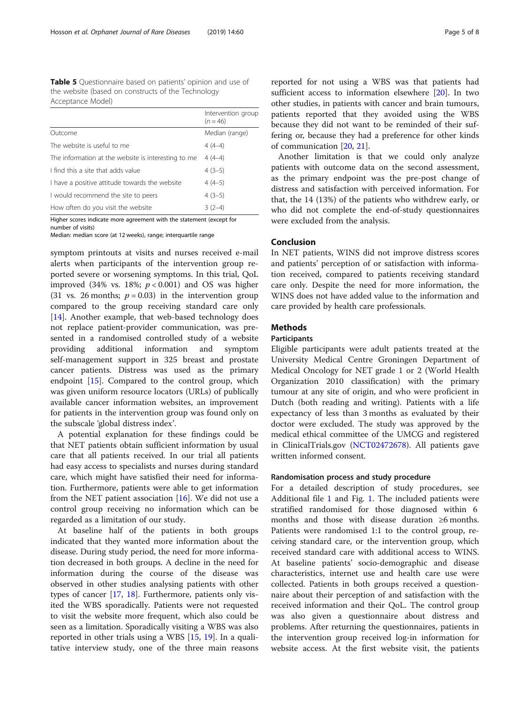<span id="page-4-0"></span>Table 5 Questionnaire based on patients' opinion and use of the website (based on constructs of the Technology Acceptance Model)

|                                                     | Intervention group<br>$(n = 46)$ |
|-----------------------------------------------------|----------------------------------|
| Outcome                                             | Median (range)                   |
| The website is useful to me                         | $4(4-4)$                         |
| The information at the website is interesting to me | $4(4-4)$                         |
| I find this a site that adds value                  | $4(3-5)$                         |
| I have a positive attitude towards the website      | $4(4-5)$                         |
| I would recommend the site to peers                 | $4(3-5)$                         |
| How often do you visit the website                  | $3(2-4)$                         |

Higher scores indicate more agreement with the statement (except for number of visits)

Median: median score (at 12 weeks), range; interquartile range

symptom printouts at visits and nurses received e-mail alerts when participants of the intervention group reported severe or worsening symptoms. In this trial, QoL improved (34% vs. 18%;  $p < 0.001$ ) and OS was higher (31 vs. 26 months;  $p = 0.03$ ) in the intervention group compared to the group receiving standard care only [[14\]](#page-6-0). Another example, that web-based technology does not replace patient-provider communication, was presented in a randomised controlled study of a website providing additional information and symptom self-management support in 325 breast and prostate cancer patients. Distress was used as the primary endpoint [\[15](#page-6-0)]. Compared to the control group, which was given uniform resource locators (URLs) of publically available cancer information websites, an improvement for patients in the intervention group was found only on the subscale 'global distress index'.

A potential explanation for these findings could be that NET patients obtain sufficient information by usual care that all patients received. In our trial all patients had easy access to specialists and nurses during standard care, which might have satisfied their need for information. Furthermore, patients were able to get information from the NET patient association  $[16]$  $[16]$ . We did not use a control group receiving no information which can be regarded as a limitation of our study.

At baseline half of the patients in both groups indicated that they wanted more information about the disease. During study period, the need for more information decreased in both groups. A decline in the need for information during the course of the disease was observed in other studies analysing patients with other types of cancer [[17](#page-6-0), [18](#page-6-0)]. Furthermore, patients only visited the WBS sporadically. Patients were not requested to visit the website more frequent, which also could be seen as a limitation. Sporadically visiting a WBS was also reported in other trials using a WBS [[15,](#page-6-0) [19\]](#page-6-0). In a qualitative interview study, one of the three main reasons

reported for not using a WBS was that patients had sufficient access to information elsewhere [\[20](#page-6-0)]. In two other studies, in patients with cancer and brain tumours, patients reported that they avoided using the WBS because they did not want to be reminded of their suffering or, because they had a preference for other kinds of communication [[20,](#page-6-0) [21\]](#page-7-0).

Another limitation is that we could only analyze patients with outcome data on the second assessment, as the primary endpoint was the pre-post change of distress and satisfaction with perceived information. For that, the 14 (13%) of the patients who withdrew early, or who did not complete the end-of-study questionnaires were excluded from the analysis.

#### Conclusion

In NET patients, WINS did not improve distress scores and patients' perception of or satisfaction with information received, compared to patients receiving standard care only. Despite the need for more information, the WINS does not have added value to the information and care provided by health care professionals.

#### **Methods**

#### Participants

Eligible participants were adult patients treated at the University Medical Centre Groningen Department of Medical Oncology for NET grade 1 or 2 (World Health Organization 2010 classification) with the primary tumour at any site of origin, and who were proficient in Dutch (both reading and writing). Patients with a life expectancy of less than 3 months as evaluated by their doctor were excluded. The study was approved by the medical ethical committee of the UMCG and registered in ClinicalTrials.gov ([NCT02472678\)](https://www.clinicaltrials.gov/ct2/show/NCT02472678?term=walenkamp&rank=9). All patients gave written informed consent.

#### Randomisation process and study procedure

For a detailed description of study procedures, see Additional file [1](#page-6-0) and Fig. [1.](#page-1-0) The included patients were stratified randomised for those diagnosed within 6 months and those with disease duration ≥6 months. Patients were randomised 1:1 to the control group, receiving standard care, or the intervention group, which received standard care with additional access to WINS. At baseline patients' socio-demographic and disease characteristics, internet use and health care use were collected. Patients in both groups received a questionnaire about their perception of and satisfaction with the received information and their QoL. The control group was also given a questionnaire about distress and problems. After returning the questionnaires, patients in the intervention group received log-in information for website access. At the first website visit, the patients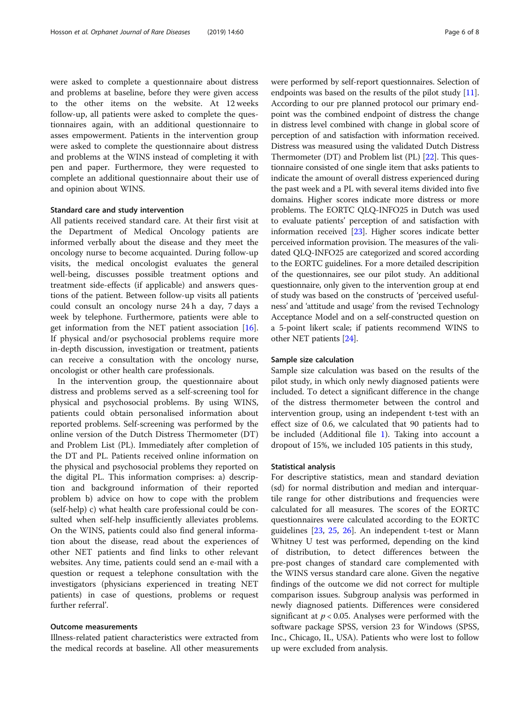were asked to complete a questionnaire about distress and problems at baseline, before they were given access to the other items on the website. At 12 weeks follow-up, all patients were asked to complete the questionnaires again, with an additional questionnaire to asses empowerment. Patients in the intervention group were asked to complete the questionnaire about distress and problems at the WINS instead of completing it with pen and paper. Furthermore, they were requested to complete an additional questionnaire about their use of and opinion about WINS.

#### Standard care and study intervention

All patients received standard care. At their first visit at the Department of Medical Oncology patients are informed verbally about the disease and they meet the oncology nurse to become acquainted. During follow-up visits, the medical oncologist evaluates the general well-being, discusses possible treatment options and treatment side-effects (if applicable) and answers questions of the patient. Between follow-up visits all patients could consult an oncology nurse 24 h a day, 7 days a week by telephone. Furthermore, patients were able to get information from the NET patient association  $[16]$  $[16]$ . If physical and/or psychosocial problems require more in-depth discussion, investigation or treatment, patients can receive a consultation with the oncology nurse, oncologist or other health care professionals.

In the intervention group, the questionnaire about distress and problems served as a self-screening tool for physical and psychosocial problems. By using WINS, patients could obtain personalised information about reported problems. Self-screening was performed by the online version of the Dutch Distress Thermometer (DT) and Problem List (PL). Immediately after completion of the DT and PL. Patients received online information on the physical and psychosocial problems they reported on the digital PL. This information comprises: a) description and background information of their reported problem b) advice on how to cope with the problem (self-help) c) what health care professional could be consulted when self-help insufficiently alleviates problems. On the WINS, patients could also find general information about the disease, read about the experiences of other NET patients and find links to other relevant websites. Any time, patients could send an e-mail with a question or request a telephone consultation with the investigators (physicians experienced in treating NET patients) in case of questions, problems or request further referral'.

#### Outcome measurements

Illness-related patient characteristics were extracted from the medical records at baseline. All other measurements were performed by self-report questionnaires. Selection of endpoints was based on the results of the pilot study [[11](#page-6-0)]. According to our pre planned protocol our primary endpoint was the combined endpoint of distress the change in distress level combined with change in global score of perception of and satisfaction with information received. Distress was measured using the validated Dutch Distress Thermometer (DT) and Problem list (PL) [\[22\]](#page-7-0). This questionnaire consisted of one single item that asks patients to indicate the amount of overall distress experienced during the past week and a PL with several items divided into five domains. Higher scores indicate more distress or more problems. The EORTC QLQ-INFO25 in Dutch was used to evaluate patients' perception of and satisfaction with information received [[23](#page-7-0)]. Higher scores indicate better perceived information provision. The measures of the validated QLQ-INFO25 are categorized and scored according to the EORTC guidelines. For a more detailed descripition of the questionnaires, see our pilot study. An additional questionnaire, only given to the intervention group at end of study was based on the constructs of 'perceived usefulness' and 'attitude and usage' from the revised Technology Acceptance Model and on a self-constructed question on a 5-point likert scale; if patients recommend WINS to other NET patients [[24](#page-7-0)].

#### Sample size calculation

Sample size calculation was based on the results of the pilot study, in which only newly diagnosed patients were included. To detect a significant difference in the change of the distress thermometer between the control and intervention group, using an independent t-test with an effect size of 0.6, we calculated that 90 patients had to be included (Additional file [1\)](#page-6-0). Taking into account a dropout of 15%, we included 105 patients in this study,

#### Statistical analysis

For descriptive statistics, mean and standard deviation (sd) for normal distribution and median and interquartile range for other distributions and frequencies were calculated for all measures. The scores of the EORTC questionnaires were calculated according to the EORTC guidelines [[23,](#page-7-0) [25,](#page-7-0) [26](#page-7-0)]. An independent t-test or Mann Whitney U test was performed, depending on the kind of distribution, to detect differences between the pre-post changes of standard care complemented with the WINS versus standard care alone. Given the negative findings of the outcome we did not correct for multiple comparison issues. Subgroup analysis was performed in newly diagnosed patients. Differences were considered significant at  $p < 0.05$ . Analyses were performed with the software package SPSS, version 23 for Windows (SPSS, Inc., Chicago, IL, USA). Patients who were lost to follow up were excluded from analysis.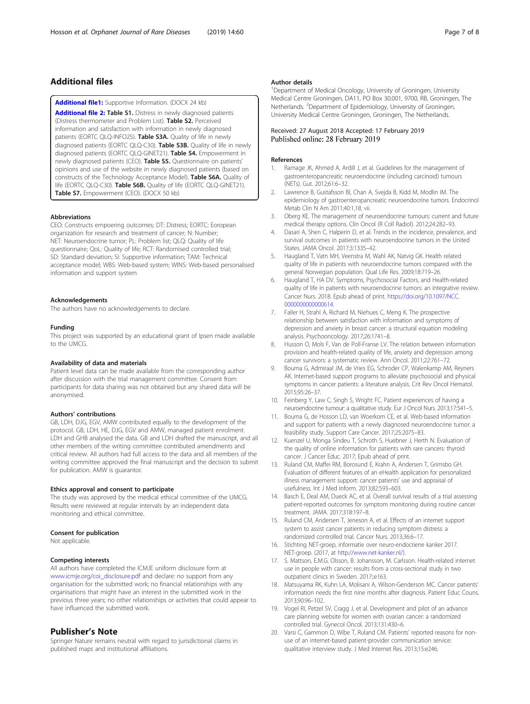#### <span id="page-6-0"></span>Additional files

[Additional file1:](https://doi.org/10.1186/s13023-019-1035-3) Supportive Information. (DOCX 24 kb)

[Additional file 2:](https://doi.org/10.1186/s13023-019-1035-3) Table S1. Distress in newly diagnosed patients (Distress thermometer and Problem List). Table S2. Perceived information and satisfaction with information in newly diagnosed patients (EORTC QLQ-INFO25). Table S3A. Quality of life in newly diagnosed patients (EORTC QLQ-C30). Table S3B. Quality of life in newly diagnosed patients (EORTC QLQ-GINET21). Table S4. Empowerment in newly diagnosed patients (CEO). Table S5. Questionnaire on patients' opinions and use of the website in newly diagnosed patients (based on constructs of the Technology Acceptance Model). Table S6A. Quality of life (EORTC QLQ-C30). Table S6B. Quality of life (EORTC QLQ-GINET21). Table S7. Empowerment (CEO). (DOCX 50 kb)

#### Abbreviations

CEO: Constructs empoering outcomes; DT: Distress; EORTC: Eoropean organization for research and treatment of cancer; N: Number; NET: Neuroendocrine tumor; PL: Problem list; QLQ: Quality of life questionnaire; QoL: Quality of life; RCT: Randomised controlled trial; SD: Standard deviation; SI: Supportive information; TAM: Technical acceptance model; WBS: Web-based system; WINS: Web-based personalised information and support system

#### Acknowledgements

The authors have no acknowledgements to declare.

#### Funding

This project was supported by an educational grant of Ipsen made available to the UMCG.

#### Availability of data and materials

Patient level data can be made available from the corresponding author after discussion with the trial management committee. Consent from participants for data sharing was not obtained but any shared data will be anonymised.

#### Authors' contributions

GB, LDH, DJG, EGV, AMW contributed equally to the development of the protocol. GB, LDH, HE, DJG, EGV and AMW, managed patient enrolment. LDH and GHB analysed the data. GB and LDH drafted the manuscript, and all other members of the writing committee contributed amendments and critical review. All authors had full access to the data and all members of the writing committee approved the final manuscript and the decision to submit for publication. AMW is guarantor.

#### Ethics approval and consent to participate

The study was approved by the medical ethical committee of the UMCG. Results were reviewed at regular intervals by an independent data monitoring and ethical committee.

#### Consent for publication

Not applicable.

#### Competing interests

All authors have completed the ICMJE uniform disclosure form at [www.icmje.org/coi\\_disclosure.pdf](http://www.icmje.org/coi_disclosure.pdf) and declare: no support from any organisation for the submitted work; no financial relationships with any organisations that might have an interest in the submitted work in the previous three years; no other relationships or activities that could appear to have influenced the submitted work.

#### Publisher's Note

Springer Nature remains neutral with regard to jurisdictional claims in published maps and institutional affiliations.

#### Author details

<sup>1</sup>Department of Medical Oncology, University of Groningen, University Medical Centre Groningen, DA11, PO Box 30.001, 9700, RB, Groningen, The Netherlands. <sup>2</sup>Department of Epidemiology, University of Groningen University Medical Centre Groningen, Groningen, The Netherlands.

#### Received: 27 August 2018 Accepted: 17 February 2019 Published online: 28 February 2019

#### References

- 1. Ramage JK, Ahmed A, Ardill J, et al. Guidelines for the management of gastroenteropancreatic neuroendocrine (including carcinoid) tumours (NETs). Gut. 2012;61:6–32.
- 2. Lawrence B, Gustafsson BI, Chan A, Svejda B, Kidd M, Modlin IM. The epidemiology of gastroenteropancreatic neuroendocrine tumors. Endocrinol Metab Clin N Am 2011;40:1,18, vii.
- 3. Oberg KE. The management of neuroendocrine tumours: current and future medical therapy options. Clin Oncol (R Coll Radiol). 2012;24:282–93.
- 4. Dasari A, Shen C, Halperin D, et al. Trends in the incidence, prevalence, and survival outcomes in patients with neuroendocrine tumors in the United States. JAMA Oncol. 2017;3:1335–42.
- 5. Haugland T, Vatn MH, Veenstra M, Wahl AK, Natvig GK. Health related quality of life in patients with neuroendocrine tumors compared with the general Norwegian population. Qual Life Res. 2009;18:719–26.
- 6. Haugland T, HA DV. Symptoms, Psychosocial Factors, and Health-related quality of life in patients with neuroendocrine tumors: an integrative review. Cancer Nurs. 2018. Epub ahead of print. [https://doi.org/10.1097/NCC.](https://doi.org/10.1097/NCC.0000000000000614) [0000000000000614](https://doi.org/10.1097/NCC.0000000000000614).
- 7. Faller H, Strahl A, Richard M, Niehues C, Meng K. The prospective relationship between satisfaction with information and symptoms of depression and anxiety in breast cancer: a structural equation modeling analysis. Psychooncology. 2017;26:1741–8.
- 8. Husson O, Mols F, Van de Poll-Franse LV. The relation between information provision and health-related quality of life, anxiety and depression among cancer survivors: a systematic review. Ann Oncol. 2011;22:761–72.
- 9. Bouma G, Admiraal JM, de Vries EG, Schroder CP, Walenkamp AM, Reyners AK. Internet-based support programs to alleviate psychosocial and physical symptoms in cancer patients: a literature analysis. Crit Rev Oncol Hematol. 2015;95:26–37.
- 10. Feinberg Y, Law C, Singh S, Wright FC. Patient experiences of having a neuroendocrine tumour: a qualitative study. Eur J Oncol Nurs. 2013;17:541–5.
- 11. Bouma G, de Hosson LD, van Woerkom CE, et al. Web-based information and support for patients with a newly diagnosed neuroendocrine tumor: a feasibility study. Support Care Cancer. 2017;25:2075–83.
- 12. Kuenzel U, Monga Sindeu T, Schroth S, Huebner J, Herth N. Evaluation of the quality of online information for patients with rare cancers: thyroid cancer. J Cancer Educ. 2017; Epub ahead of print.
- 13. Ruland CM, Maffei RM, Borosund E, Krahn A, Andersen T, Grimsbo GH. Evaluation of different features of an eHealth application for personalized illness management support: cancer patients' use and appraisal of usefulness. Int J Med Inform. 2013;82:593–603.
- 14. Basch E, Deal AM, Dueck AC, et al. Overall survival results of a trial assessing patient-reported outcomes for symptom monitoring during routine cancer treatment. JAMA. 2017;318:197–8.
- 15. Ruland CM, Andersen T, Jeneson A, et al. Effects of an internet support system to assist cancer patients in reducing symptom distress: a randomized controlled trial. Cancer Nurs. 2013;36:6–17.
- 16. Stichting NET-groep, informatie over neuro-endocriene kanker 2017. NET-groep. (2017, at [http://www.net-kanker.nl/\)](http://www.net-kanker.nl/).
- 17. S. Mattson, E.M.G. Olsson, B. Johansson, M. Carlsson. Health-related internet use in people with cancer: results from a cross-sectional study in two outpatient clinics in Sweden. 2017;e163.
- 18. Matsuyama RK, Kuhn LA, Molisani A, Wilson-Genderson MC. Cancer patients' information needs the first nine months after diagnosis. Patient Educ Couns. 2013;90:96–102.
- 19. Vogel RI, Petzel SV, Cragg J, et al. Development and pilot of an advance care planning website for women with ovarian cancer: a randomized controlled trial. Gynecol Oncol. 2013;131:430–6.
- 20. Varsi C, Gammon D, Wibe T, Ruland CM. Patients' reported reasons for nonuse of an internet-based patient-provider communication service: qualitative interview study. J Med Internet Res. 2013;15:e246.